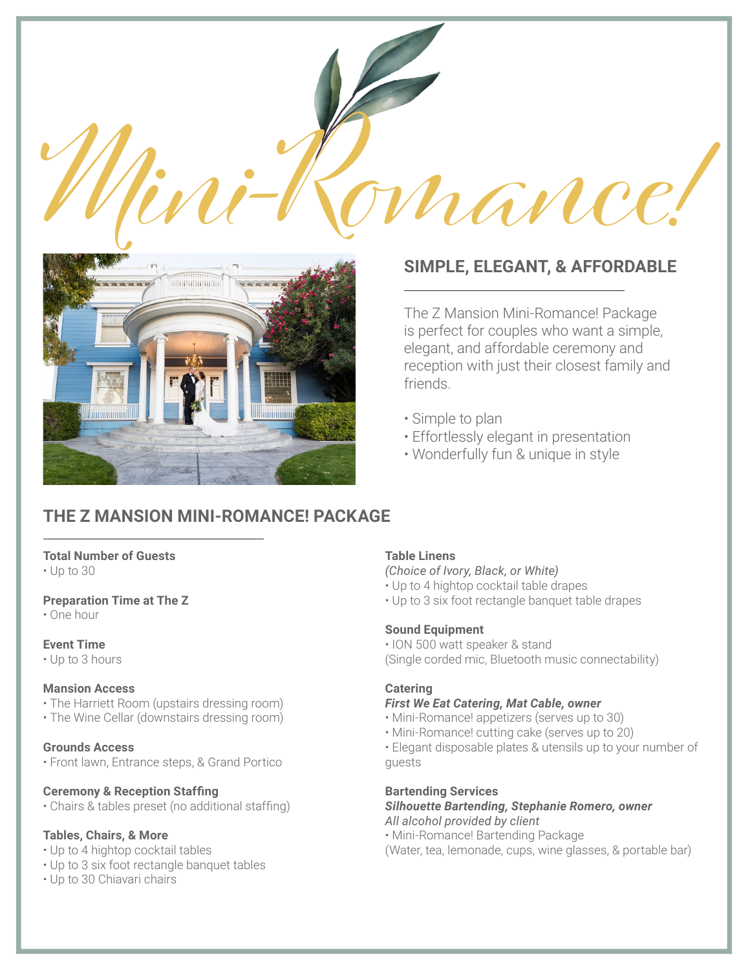



# **SIMPLE, ELEGANT, & AFFORDABLE**

The Z Mansion Mini-Romance! Package is perfect for couples who want a simple, elegant, and affordable ceremony and reception with just their closest family and friends.

- Simple to plan
- Effortlessly elegant in presentation
- Wonderfully fun & unique in style

# **THE Z MANSION MINI-ROMANCE! PACKAGE**

## **Total Number of Guests**

• Up to 30

## **Preparation Time at The Z**

• One hour

## **Event Time**

• Up to 3 hours

## **Mansion Access**

- The Harriett Room (upstairs dressing room)
- The Wine Cellar (downstairs dressing room)

## **Grounds Access**

• Front lawn, Entrance steps, & Grand Portico

## **Ceremony & Reception Staffing**

• Chairs & tables preset (no additional staffing)

# **Tables, Chairs, & More**

- Up to 4 hightop cocktail tables
- Up to 3 six foot rectangle banquet tables
- Up to 30 Chiavari chairs

# **Table Linens**

*(Choice of Ivory, Black, or White)*

- Up to 4 hightop cocktail table drapes
- Up to 3 six foot rectangle banquet table drapes

## **Sound Equipment**

• ION 500 watt speaker & stand (Single corded mic, Bluetooth music connectability)

# **Catering**

# *First We Eat Catering, Mat Cable, owner*

- Mini-Romance! appetizers (serves up to 30)
- Mini-Romance! cutting cake (serves up to 20)

• Elegant disposable plates & utensils up to your number of guests

## **Bartending Services**

*Silhouette Bartending, Stephanie Romero, owner All alcohol provided by client*

- Mini-Romance! Bartending Package
- (Water, tea, lemonade, cups, wine glasses, & portable bar)